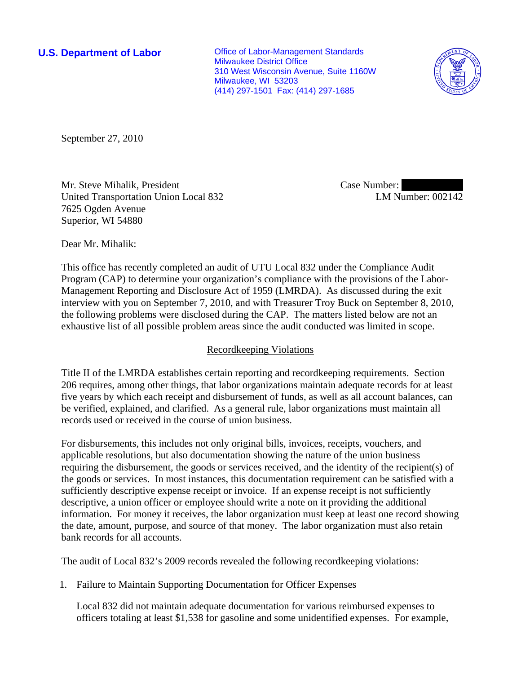**U.S. Department of Labor Conservative Conservative Conservative Conservative Conservative Conservative Conservative Conservative Conservative Conservative Conservative Conservative Conservative Conservative Conservative** Milwaukee District Office 310 West Wisconsin Avenue, Suite 1160W Milwaukee, WI 53203 (414) 297-1501 Fax: (414) 297-1685



September 27, 2010

Mr. Steve Mihalik, President United Transportation Union Local 832 7625 Ogden Avenue Superior, WI 54880

Case Number: LM Number: 002142

Dear Mr. Mihalik:

This office has recently completed an audit of UTU Local 832 under the Compliance Audit Program (CAP) to determine your organization's compliance with the provisions of the Labor-Management Reporting and Disclosure Act of 1959 (LMRDA). As discussed during the exit interview with you on September 7, 2010, and with Treasurer Troy Buck on September 8, 2010, the following problems were disclosed during the CAP. The matters listed below are not an exhaustive list of all possible problem areas since the audit conducted was limited in scope.

# Recordkeeping Violations

Title II of the LMRDA establishes certain reporting and recordkeeping requirements. Section 206 requires, among other things, that labor organizations maintain adequate records for at least five years by which each receipt and disbursement of funds, as well as all account balances, can be verified, explained, and clarified. As a general rule, labor organizations must maintain all records used or received in the course of union business.

For disbursements, this includes not only original bills, invoices, receipts, vouchers, and applicable resolutions, but also documentation showing the nature of the union business requiring the disbursement, the goods or services received, and the identity of the recipient(s) of the goods or services. In most instances, this documentation requirement can be satisfied with a sufficiently descriptive expense receipt or invoice. If an expense receipt is not sufficiently descriptive, a union officer or employee should write a note on it providing the additional information. For money it receives, the labor organization must keep at least one record showing the date, amount, purpose, and source of that money. The labor organization must also retain bank records for all accounts.

The audit of Local 832's 2009 records revealed the following recordkeeping violations:

1. Failure to Maintain Supporting Documentation for Officer Expenses

Local 832 did not maintain adequate documentation for various reimbursed expenses to officers totaling at least \$1,538 for gasoline and some unidentified expenses. For example,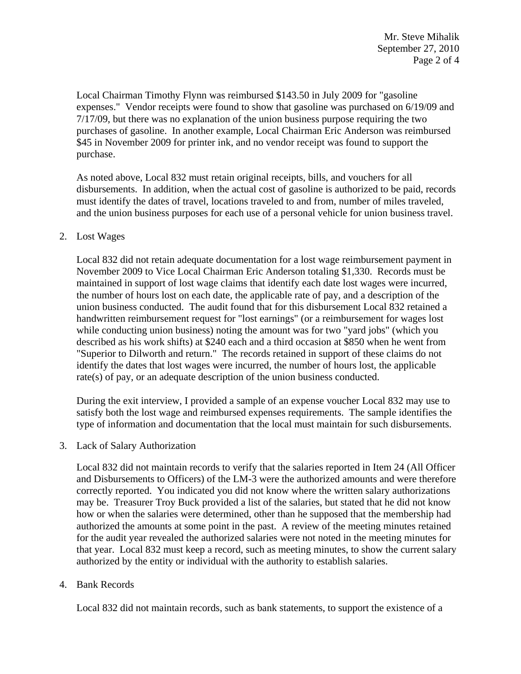Local Chairman Timothy Flynn was reimbursed \$143.50 in July 2009 for "gasoline expenses." Vendor receipts were found to show that gasoline was purchased on 6/19/09 and 7/17/09, but there was no explanation of the union business purpose requiring the two purchases of gasoline. In another example, Local Chairman Eric Anderson was reimbursed \$45 in November 2009 for printer ink, and no vendor receipt was found to support the purchase.

As noted above, Local 832 must retain original receipts, bills, and vouchers for all disbursements. In addition, when the actual cost of gasoline is authorized to be paid, records must identify the dates of travel, locations traveled to and from, number of miles traveled, and the union business purposes for each use of a personal vehicle for union business travel.

### 2. Lost Wages

Local 832 did not retain adequate documentation for a lost wage reimbursement payment in November 2009 to Vice Local Chairman Eric Anderson totaling \$1,330. Records must be maintained in support of lost wage claims that identify each date lost wages were incurred, the number of hours lost on each date, the applicable rate of pay, and a description of the union business conducted. The audit found that for this disbursement Local 832 retained a handwritten reimbursement request for "lost earnings" (or a reimbursement for wages lost while conducting union business) noting the amount was for two "yard jobs" (which you described as his work shifts) at \$240 each and a third occasion at \$850 when he went from "Superior to Dilworth and return." The records retained in support of these claims do not identify the dates that lost wages were incurred, the number of hours lost, the applicable rate(s) of pay, or an adequate description of the union business conducted.

During the exit interview, I provided a sample of an expense voucher Local 832 may use to satisfy both the lost wage and reimbursed expenses requirements. The sample identifies the type of information and documentation that the local must maintain for such disbursements.

3. Lack of Salary Authorization

Local 832 did not maintain records to verify that the salaries reported in Item 24 (All Officer and Disbursements to Officers) of the LM-3 were the authorized amounts and were therefore correctly reported. You indicated you did not know where the written salary authorizations may be. Treasurer Troy Buck provided a list of the salaries, but stated that he did not know how or when the salaries were determined, other than he supposed that the membership had authorized the amounts at some point in the past. A review of the meeting minutes retained for the audit year revealed the authorized salaries were not noted in the meeting minutes for that year. Local 832 must keep a record, such as meeting minutes, to show the current salary authorized by the entity or individual with the authority to establish salaries.

### 4. Bank Records

Local 832 did not maintain records, such as bank statements, to support the existence of a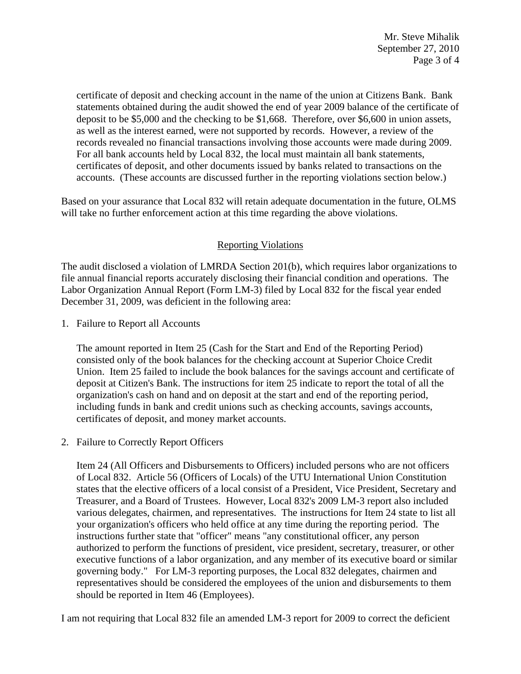certificate of deposit and checking account in the name of the union at Citizens Bank. Bank statements obtained during the audit showed the end of year 2009 balance of the certificate of deposit to be \$5,000 and the checking to be \$1,668. Therefore, over \$6,600 in union assets, as well as the interest earned, were not supported by records. However, a review of the records revealed no financial transactions involving those accounts were made during 2009. For all bank accounts held by Local 832, the local must maintain all bank statements, certificates of deposit, and other documents issued by banks related to transactions on the accounts. (These accounts are discussed further in the reporting violations section below.)

Based on your assurance that Local 832 will retain adequate documentation in the future, OLMS will take no further enforcement action at this time regarding the above violations.

# Reporting Violations

The audit disclosed a violation of LMRDA Section 201(b), which requires labor organizations to file annual financial reports accurately disclosing their financial condition and operations. The Labor Organization Annual Report (Form LM-3) filed by Local 832 for the fiscal year ended December 31, 2009, was deficient in the following area:

1. Failure to Report all Accounts

The amount reported in Item 25 (Cash for the Start and End of the Reporting Period) consisted only of the book balances for the checking account at Superior Choice Credit Union. Item 25 failed to include the book balances for the savings account and certificate of deposit at Citizen's Bank. The instructions for item 25 indicate to report the total of all the organization's cash on hand and on deposit at the start and end of the reporting period, including funds in bank and credit unions such as checking accounts, savings accounts, certificates of deposit, and money market accounts.

2. Failure to Correctly Report Officers

Item 24 (All Officers and Disbursements to Officers) included persons who are not officers of Local 832. Article 56 (Officers of Locals) of the UTU International Union Constitution states that the elective officers of a local consist of a President, Vice President, Secretary and Treasurer, and a Board of Trustees. However, Local 832's 2009 LM-3 report also included various delegates, chairmen, and representatives. The instructions for Item 24 state to list all your organization's officers who held office at any time during the reporting period. The instructions further state that "officer" means "any constitutional officer, any person authorized to perform the functions of president, vice president, secretary, treasurer, or other executive functions of a labor organization, and any member of its executive board or similar governing body." For LM-3 reporting purposes, the Local 832 delegates, chairmen and representatives should be considered the employees of the union and disbursements to them should be reported in Item 46 (Employees).

I am not requiring that Local 832 file an amended LM-3 report for 2009 to correct the deficient